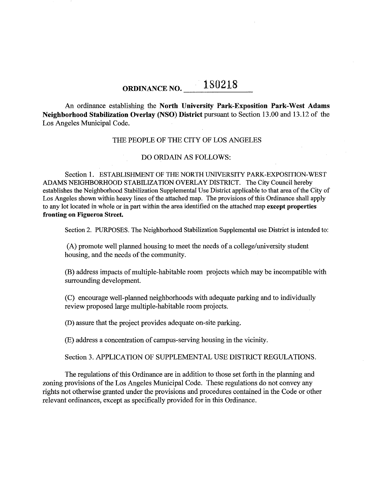# ORDINANCE NO. **180218**

An ordinance establishing the North University Park-Exposition Park-West Adams Neighborhood Stabilization Overlay (NSO) District pursuant to Section 13.00 and 13.12 of the Los Angeles Municipal Code.

### THE PEOPLE OF THE CITY OF LOS ANGELES

### DO ORDAIN AS FOLLOWS:

Section 1. ESTABLISHMENT OF THE NORTH UNNERSITY PARK-EXPOSITION-WEST ADAMS NEIGHBORHOOD STABILIZATION OVERLAY DISTRICT. The City Council herehy establishes the Neighborhood Stabilization Supplemental Use District applicable to that area of the City of Los Angeles shown within heavy lines of the attached map. The provisions of this Ordinance shall apply to any lot located in whole or in part within the area identified on the attached map except properties fronting on Figueroa Street.

Section 2. PURPOSES. The Neighborhood Stabilization Supplemental use District is intended to:

(A) promote well planned housing to meet the needs of a college/university student housing, and the needs of the community.

(B) address impacts of multiple-habitable room projects which may be incompatible with surrounding development.

(C) encourage well-planned neighborhoods with adequate parking and to individually review proposed large multiple-habitable room projects.

(D) assure that the project provides adequate on-site parking.

(E) address a concentration of campus-serving housing in the vicinity.

Section 3. APPLICATION OF SUPPLEMENTAL USE DISTRICT REGULATIONS.

The regulations of this Ordinance are in addition to those set forth in the planning and zoning provisions of the Los Angeles Municipal Code. These regulations do not convey any rights not otherwise granted under the provisions and procedures contained in the Code or other relevant ordinances, except as specifically provided for in this Ordinance.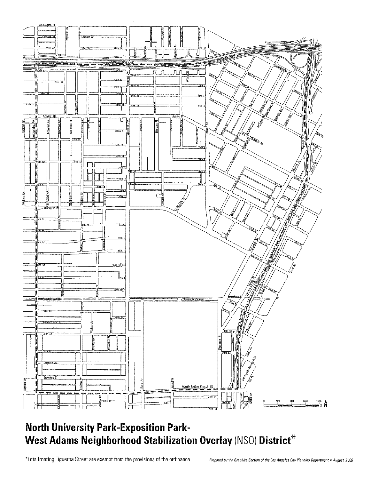

## **North University Park-Exposition Park-West Adams Neighborhood Stabilization Overlay (NSO) District<sup>\*</sup>**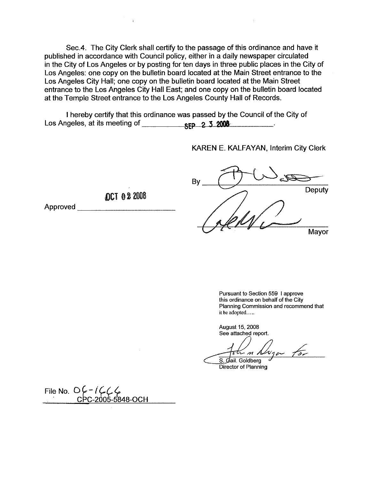Sec.4. The City Clerk shall certify to the passage of this ordinance and have it published in accordance with Council policy, either in a daily newspaper circulated in the City of Los Angeles or by posting for ten days in three public places in the City of Los Angeles: one copy on the bulletin board located at the Main Street entrance to the Los Angeles City Hall; one copy on the bulletin board located at the Main Street entrance to the Los Angeles City Hall East; and one copy on the bulletin board located at the Temple Street entrance to the Los Angeles County Hall of Records.

I hereby certify that this ordinance was passed by the Council of the City of Los Angeles, at its meeting of **SEP 2 3 2008** 

KAREN E. KALFAYAN, Interim City Clerk

 $\Delta$ 

By Deputy Mayor

> Pursuant to Section 559 I approve this ordinance on behalf of the City Planning Commission and recommend that **it be adopted .....**

August 15, 2008 See attached report.

Fotum Nugar for

Director of Planning

File No. **0***C-1CCC*<br>CPC-2005-5848-0C

Approved \_

**OCT 02 2008** 

 $\mathbf{a}$